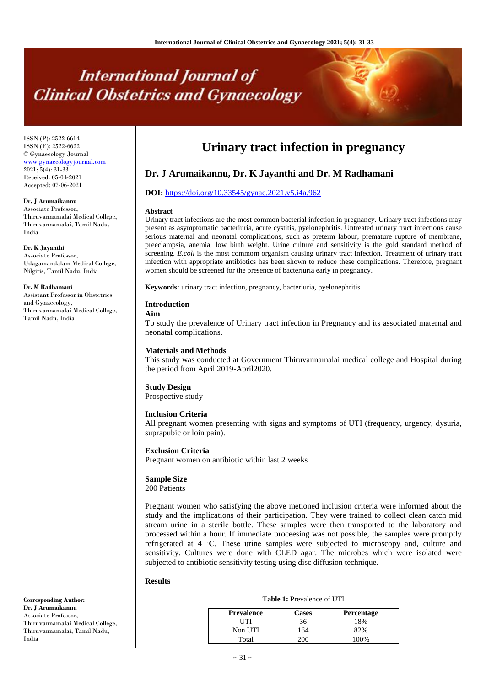# **International Journal of Clinical Obstetrics and Gynaecology**

ISSN (P): 2522-6614 ISSN (E): 2522-6622 © Gynaecology Journal <www.gynaecologyjournal.com> 2021; 5(4): 31-33 Received: 05-04-2021 Accepted: 07-06-2021

**Dr. J Arumaikannu** Associate Professor,

Thiruvannamalai Medical College, Thiruvannamalai, Tamil Nadu, India

**Dr. K Jayanthi** Associate Professor, Udagamandalam Medical College, Nilgiris, Tamil Nadu, India

#### **Dr. M Radhamani**

Assistant Professor in Obstetrics and Gynaecology, Thiruvannamalai Medical College, Tamil Nadu, India

# **Urinary tract infection in pregnancy**

# **Dr. J Arumaikannu, Dr. K Jayanthi and Dr. M Radhamani**

# **DOI:** <https://doi.org/10.33545/gynae.2021.v5.i4a.962>

#### **Abstract**

Urinary tract infections are the most common bacterial infection in pregnancy. Urinary tract infections may present as asymptomatic bacteriuria, acute cystitis, pyelonephritis. Untreated urinary tract infections cause serious maternal and neonatal complications, such as preterm labour, premature rupture of membrane, preeclampsia, anemia, low birth weight. Urine culture and sensitivity is the gold standard method of screening*. E.coli* is the most commom organism causing urinary tract infection. Treatment of urinary tract infection with appropriate antibiotics has been shown to reduce these complications. Therefore, pregnant women should be screened for the presence of bacteriuria early in pregnancy.

**Keywords:** urinary tract infection, pregnancy, bacteriuria, pyelonephritis

#### **Introduction**

### **Aim**

To study the prevalence of Urinary tract infection in Pregnancy and its associated maternal and neonatal complications.

#### **Materials and Methods**

This study was conducted at Government Thiruvannamalai medical college and Hospital during the period from April 2019-April2020.

# **Study Design**

Prospective study

#### **Inclusion Criteria**

All pregnant women presenting with signs and symptoms of UTI (frequency, urgency, dysuria, suprapubic or loin pain).

#### **Exclusion Criteria**

Pregnant women on antibiotic within last 2 weeks

#### **Sample Size**

200 Patients

Pregnant women who satisfying the above metioned inclusion criteria were informed about the study and the implications of their participation. They were trained to collect clean catch mid stream urine in a sterile bottle. These samples were then transported to the laboratory and processed within a hour. If immediate proceesing was not possible, the samples were promptly refrigerated at 4 'C. These urine samples were subjected to microscopy and, culture and sensitivity. Cultures were done with CLED agar. The microbes which were isolated were subjected to antibiotic sensitivity testing using disc diffusion technique.

#### **Results**

| <b>Prevalence</b> | <b>Cases</b> | <b>Percentage</b> |
|-------------------|--------------|-------------------|
| UTI               | 36           | 18%               |
| Non UTI           | 164          | 82%               |
| Total             |              | 100%              |

**Table 1:** Prevalence of UTI

**Corresponding Author: Dr. J Arumaikannu** Associate Professor, Thiruvannamalai Medical College, Thiruvannamalai, Tamil Nadu, India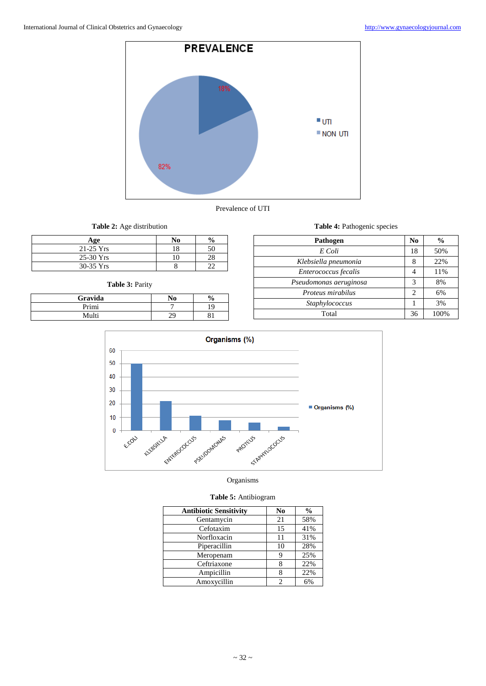



**Table 2:** Age distribution

| Age         | No | $\frac{0}{0}$ |
|-------------|----|---------------|
| $21-25$ Yrs |    |               |
| $25-30$ Yrs |    |               |
| $30-35$ Yrs |    |               |

# **Table 3:** Parity

| Gravida | No | $\frac{6}{9}$ |
|---------|----|---------------|
| Primi   |    | 19            |
| Multi   | ററ |               |

| Table 4: Pathogenic species |                |               |  |
|-----------------------------|----------------|---------------|--|
| Pathogen                    |                | $\frac{0}{0}$ |  |
| E Coli                      | 18             | 50%           |  |
| Klebsiella pneumonia        | 8              | 22%           |  |
| Enterococcus fecalis        | 4              | 11%           |  |
| Pseudomonas aeruginosa      | 3              | 8%            |  |
| Proteus mirabilus           | $\overline{c}$ | 6%            |  |
| Staphylococcus              |                | 3%            |  |
| Total                       |                | 100%          |  |



# Organisms

# **Table 5:** Antibiogram

| <b>Antibiotic Sensitivity</b> | N <sub>0</sub> | $\frac{0}{0}$ |
|-------------------------------|----------------|---------------|
| Gentamycin                    | 21             | 58%           |
| Cefotaxim                     | 15             | 41%           |
| Norfloxacin                   | 11             | 31%           |
| Piperacillin                  | 10             | 28%           |
| Meropenam                     |                | 25%           |
| Ceftriaxone                   |                | 22%           |
| Ampicillin                    |                | 22%           |
| Amoxycillin                   |                | 6%            |